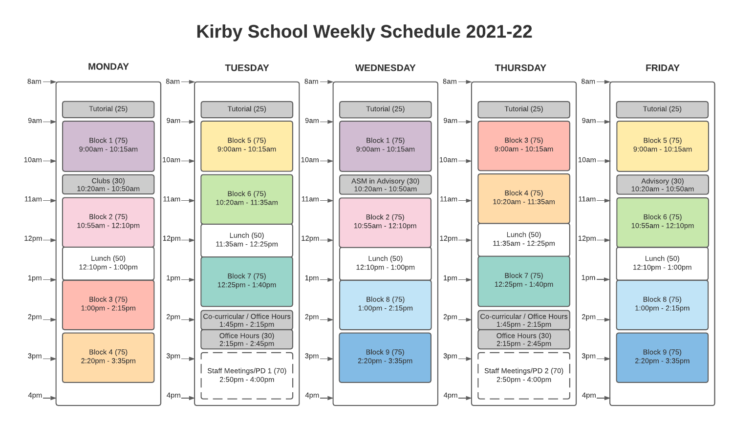# Kirby School Weekly Schedule 2021-22

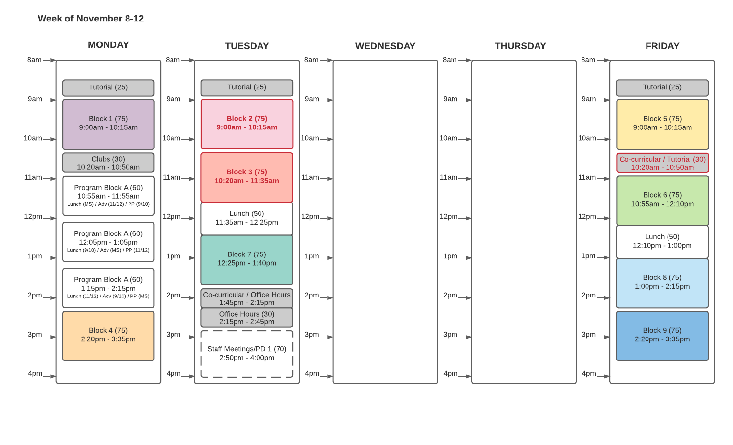#### Week of November 8-12

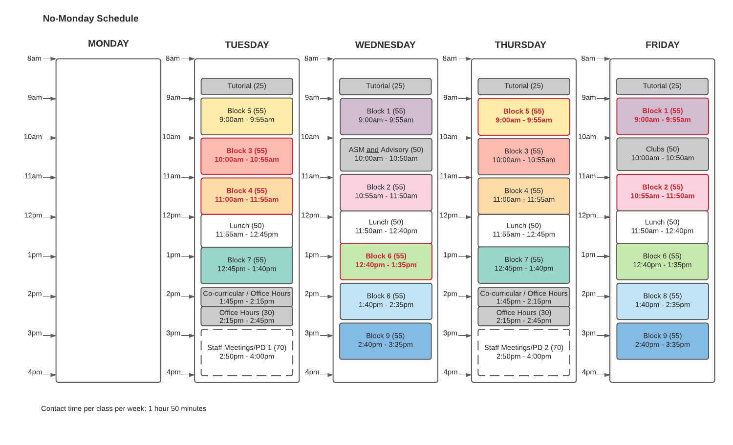### No-Monday Schedule

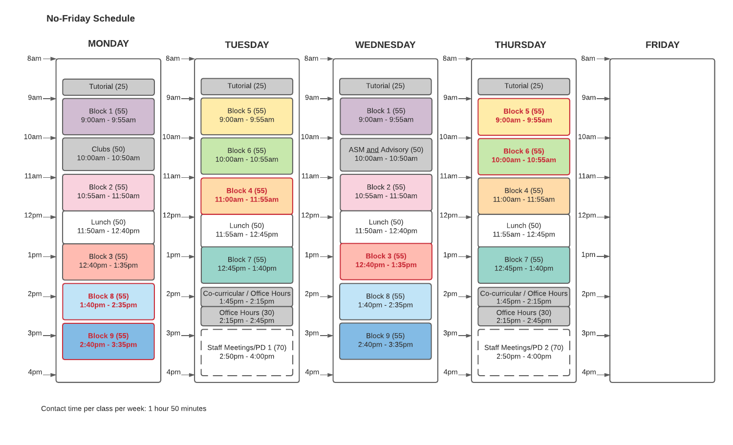#### No-Friday Schedule



Contact time per class per week: 1 hour 50 minutes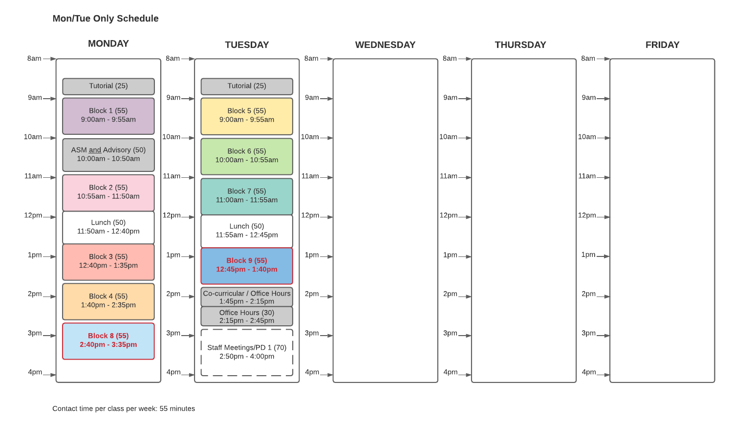## Mon/Tue Only Schedule



Contact time per class per week: 55 minutes